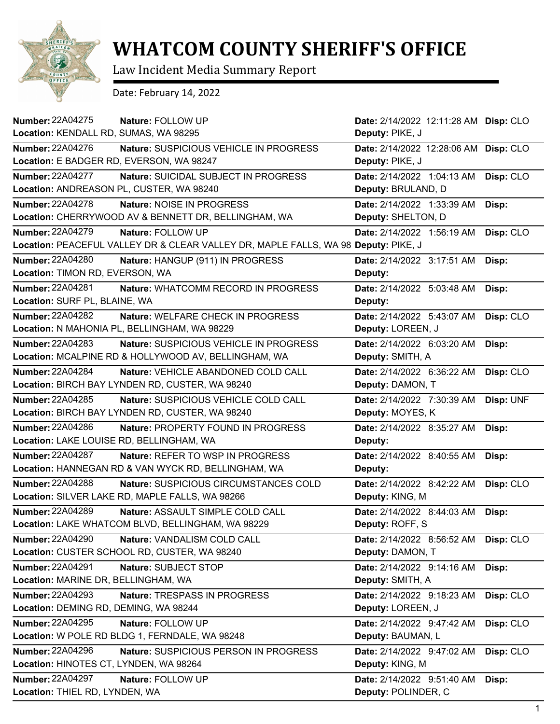

## **WHATCOM COUNTY SHERIFF'S OFFICE**

Law Incident Media Summary Report

Date: February 14, 2022

| <b>Number: 22A04275</b><br>Nature: FOLLOW UP                                       | Date: 2/14/2022 12:11:28 AM Disp: CLO |           |
|------------------------------------------------------------------------------------|---------------------------------------|-----------|
| Location: KENDALL RD, SUMAS, WA 98295                                              | Deputy: PIKE, J                       |           |
| <b>Number: 22A04276</b><br>Nature: SUSPICIOUS VEHICLE IN PROGRESS                  | Date: 2/14/2022 12:28:06 AM Disp: CLO |           |
| Location: E BADGER RD, EVERSON, WA 98247                                           | Deputy: PIKE, J                       |           |
| <b>Number: 22A04277</b><br>Nature: SUICIDAL SUBJECT IN PROGRESS                    | Date: 2/14/2022 1:04:13 AM            | Disp: CLO |
| Location: ANDREASON PL, CUSTER, WA 98240                                           | Deputy: BRULAND, D                    |           |
| <b>Number: 22A04278</b><br>Nature: NOISE IN PROGRESS                               | Date: 2/14/2022 1:33:39 AM            | Disp:     |
| Location: CHERRYWOOD AV & BENNETT DR, BELLINGHAM, WA                               | Deputy: SHELTON, D                    |           |
| <b>Number: 22A04279</b><br>Nature: FOLLOW UP                                       | Date: 2/14/2022 1:56:19 AM            | Disp: CLO |
| Location: PEACEFUL VALLEY DR & CLEAR VALLEY DR, MAPLE FALLS, WA 98 Deputy: PIKE, J |                                       |           |
| <b>Number: 22A04280</b><br>Nature: HANGUP (911) IN PROGRESS                        | Date: 2/14/2022 3:17:51 AM            | Disp:     |
| Location: TIMON RD, EVERSON, WA                                                    | Deputy:                               |           |
| <b>Number: 22A04281</b><br>Nature: WHATCOMM RECORD IN PROGRESS                     | Date: 2/14/2022 5:03:48 AM            | Disp:     |
| Location: SURF PL, BLAINE, WA                                                      | Deputy:                               |           |
| <b>Number: 22A04282</b><br>Nature: WELFARE CHECK IN PROGRESS                       | Date: 2/14/2022 5:43:07 AM            | Disp: CLO |
| Location: N MAHONIA PL, BELLINGHAM, WA 98229                                       | Deputy: LOREEN, J                     |           |
| <b>Number: 22A04283</b><br>Nature: SUSPICIOUS VEHICLE IN PROGRESS                  | Date: 2/14/2022 6:03:20 AM            | Disp:     |
| Location: MCALPINE RD & HOLLYWOOD AV, BELLINGHAM, WA                               | Deputy: SMITH, A                      |           |
| <b>Number: 22A04284</b><br>Nature: VEHICLE ABANDONED COLD CALL                     | Date: 2/14/2022 6:36:22 AM            | Disp: CLO |
| Location: BIRCH BAY LYNDEN RD, CUSTER, WA 98240                                    | Deputy: DAMON, T                      |           |
| <b>Number: 22A04285</b><br>Nature: SUSPICIOUS VEHICLE COLD CALL                    | Date: 2/14/2022 7:30:39 AM            | Disp: UNF |
| Location: BIRCH BAY LYNDEN RD, CUSTER, WA 98240                                    | Deputy: MOYES, K                      |           |
| <b>Number: 22A04286</b><br>Nature: PROPERTY FOUND IN PROGRESS                      | Date: 2/14/2022 8:35:27 AM            | Disp:     |
| Location: LAKE LOUISE RD, BELLINGHAM, WA                                           | Deputy:                               |           |
| <b>Number: 22A04287</b><br><b>Nature: REFER TO WSP IN PROGRESS</b>                 | Date: 2/14/2022 8:40:55 AM            | Disp:     |
| Location: HANNEGAN RD & VAN WYCK RD, BELLINGHAM, WA                                | Deputy:                               |           |
| <b>Number: 22A04288</b><br>Nature: SUSPICIOUS CIRCUMSTANCES COLD                   | Date: 2/14/2022 8:42:22 AM            | Disp: CLO |
| Location: SILVER LAKE RD, MAPLE FALLS, WA 98266                                    | Deputy: KING, M                       |           |
| <b>Number: 22A04289</b><br>Nature: ASSAULT SIMPLE COLD CALL                        | Date: 2/14/2022 8:44:03 AM            | Disp:     |
| Location: LAKE WHATCOM BLVD, BELLINGHAM, WA 98229                                  | Deputy: ROFF, S                       |           |
| <b>Number: 22A04290</b><br>Nature: VANDALISM COLD CALL                             | Date: 2/14/2022 8:56:52 AM            | Disp: CLO |
| Location: CUSTER SCHOOL RD, CUSTER, WA 98240                                       | Deputy: DAMON, T                      |           |
| <b>Number: 22A04291</b><br>Nature: SUBJECT STOP                                    | Date: 2/14/2022 9:14:16 AM            | Disp:     |
| Location: MARINE DR, BELLINGHAM, WA                                                | Deputy: SMITH, A                      |           |
| <b>Number: 22A04293</b><br>Nature: TRESPASS IN PROGRESS                            | Date: 2/14/2022 9:18:23 AM            | Disp: CLO |
| Location: DEMING RD, DEMING, WA 98244                                              | Deputy: LOREEN, J                     |           |
| <b>Number: 22A04295</b><br>Nature: FOLLOW UP                                       | Date: 2/14/2022 9:47:42 AM            | Disp: CLO |
| Location: W POLE RD BLDG 1, FERNDALE, WA 98248                                     | Deputy: BAUMAN, L                     |           |
| Number: 22A04296<br>Nature: SUSPICIOUS PERSON IN PROGRESS                          | Date: 2/14/2022 9:47:02 AM            | Disp: CLO |
| Location: HINOTES CT, LYNDEN, WA 98264                                             | Deputy: KING, M                       |           |
| Number: 22A04297<br>Nature: FOLLOW UP                                              | Date: 2/14/2022 9:51:40 AM            | Disp:     |
| Location: THIEL RD, LYNDEN, WA                                                     | Deputy: POLINDER, C                   |           |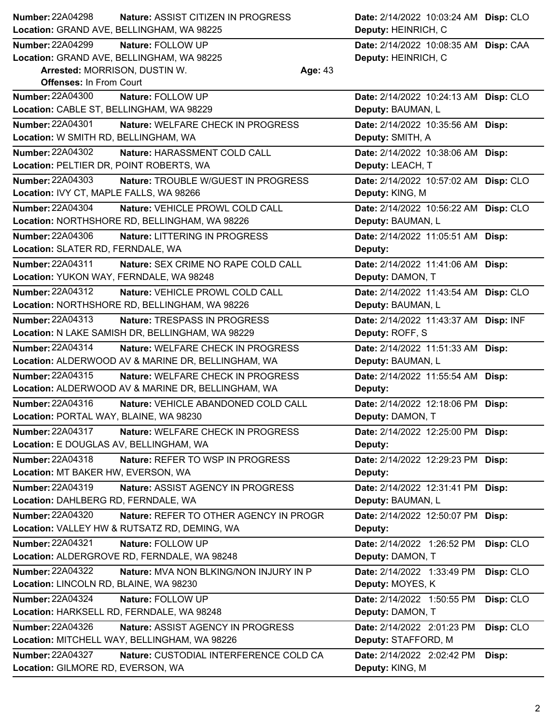| Number: 22A04298                         | Nature: ASSIST CITIZEN IN PROGRESS                 | Date: 2/14/2022 10:03:24 AM Disp: CLO |           |
|------------------------------------------|----------------------------------------------------|---------------------------------------|-----------|
|                                          | Location: GRAND AVE, BELLINGHAM, WA 98225          | Deputy: HEINRICH, C                   |           |
| <b>Number: 22A04299</b>                  | Nature: FOLLOW UP                                  | Date: 2/14/2022 10:08:35 AM Disp: CAA |           |
|                                          | Location: GRAND AVE, BELLINGHAM, WA 98225          | Deputy: HEINRICH, C                   |           |
| Arrested: MORRISON, DUSTIN W.            | Age: 43                                            |                                       |           |
| <b>Offenses: In From Court</b>           |                                                    |                                       |           |
| <b>Number: 22A04300</b>                  | Nature: FOLLOW UP                                  | Date: 2/14/2022 10:24:13 AM Disp: CLO |           |
| Location: CABLE ST, BELLINGHAM, WA 98229 |                                                    | Deputy: BAUMAN, L                     |           |
| <b>Number: 22A04301</b>                  | Nature: WELFARE CHECK IN PROGRESS                  | Date: 2/14/2022 10:35:56 AM Disp:     |           |
| Location: W SMITH RD, BELLINGHAM, WA     |                                                    | Deputy: SMITH, A                      |           |
| Number: 22A04302                         | Nature: HARASSMENT COLD CALL                       | Date: 2/14/2022 10:38:06 AM Disp:     |           |
| Location: PELTIER DR, POINT ROBERTS, WA  |                                                    | Deputy: LEACH, T                      |           |
| Number: 22A04303                         | Nature: TROUBLE W/GUEST IN PROGRESS                | Date: 2/14/2022 10:57:02 AM Disp: CLO |           |
| Location: IVY CT, MAPLE FALLS, WA 98266  |                                                    | Deputy: KING, M                       |           |
| <b>Number: 22A04304</b>                  | Nature: VEHICLE PROWL COLD CALL                    | Date: 2/14/2022 10:56:22 AM Disp: CLO |           |
|                                          | Location: NORTHSHORE RD, BELLINGHAM, WA 98226      | Deputy: BAUMAN, L                     |           |
| <b>Number: 22A04306</b>                  | Nature: LITTERING IN PROGRESS                      | Date: 2/14/2022 11:05:51 AM Disp:     |           |
| Location: SLATER RD, FERNDALE, WA        |                                                    | Deputy:                               |           |
| <b>Number: 22A04311</b>                  | Nature: SEX CRIME NO RAPE COLD CALL                | Date: 2/14/2022 11:41:06 AM Disp:     |           |
| Location: YUKON WAY, FERNDALE, WA 98248  |                                                    | Deputy: DAMON, T                      |           |
| Number: 22A04312                         | Nature: VEHICLE PROWL COLD CALL                    | Date: 2/14/2022 11:43:54 AM Disp: CLO |           |
|                                          | Location: NORTHSHORE RD, BELLINGHAM, WA 98226      | Deputy: BAUMAN, L                     |           |
| Number: 22A04313                         | Nature: TRESPASS IN PROGRESS                       | Date: 2/14/2022 11:43:37 AM Disp: INF |           |
|                                          | Location: N LAKE SAMISH DR, BELLINGHAM, WA 98229   | Deputy: ROFF, S                       |           |
| Number: 22A04314                         | Nature: WELFARE CHECK IN PROGRESS                  | Date: 2/14/2022 11:51:33 AM Disp:     |           |
|                                          | Location: ALDERWOOD AV & MARINE DR, BELLINGHAM, WA | Deputy: BAUMAN, L                     |           |
| <b>Number: 22A04315</b>                  | Nature: WELFARE CHECK IN PROGRESS                  | Date: 2/14/2022 11:55:54 AM Disp:     |           |
|                                          | Location: ALDERWOOD AV & MARINE DR, BELLINGHAM, WA | Deputy:                               |           |
| Number: 22A04316                         | Nature: VEHICLE ABANDONED COLD CALL                | Date: 2/14/2022 12:18:06 PM Disp:     |           |
| Location: PORTAL WAY, BLAINE, WA 98230   |                                                    | Deputy: DAMON, T                      |           |
| Number: 22A04317                         | Nature: WELFARE CHECK IN PROGRESS                  | Date: 2/14/2022 12:25:00 PM Disp:     |           |
| Location: E DOUGLAS AV, BELLINGHAM, WA   |                                                    | Deputy:                               |           |
| Number: 22A04318                         | Nature: REFER TO WSP IN PROGRESS                   | Date: 2/14/2022 12:29:23 PM Disp:     |           |
| Location: MT BAKER HW, EVERSON, WA       |                                                    | Deputy:                               |           |
| Number: 22A04319                         | Nature: ASSIST AGENCY IN PROGRESS                  | Date: 2/14/2022 12:31:41 PM Disp:     |           |
| Location: DAHLBERG RD, FERNDALE, WA      |                                                    | Deputy: BAUMAN, L                     |           |
| Number: 22A04320                         | Nature: REFER TO OTHER AGENCY IN PROGR             | Date: 2/14/2022 12:50:07 PM Disp:     |           |
|                                          | Location: VALLEY HW & RUTSATZ RD, DEMING, WA       | Deputy:                               |           |
| Number: 22A04321                         | Nature: FOLLOW UP                                  | Date: 2/14/2022 1:26:52 PM            | Disp: CLO |
|                                          | Location: ALDERGROVE RD, FERNDALE, WA 98248        | Deputy: DAMON, T                      |           |
| <b>Number: 22A04322</b>                  | Nature: MVA NON BLKING/NON INJURY IN P             | Date: 2/14/2022 1:33:49 PM            | Disp: CLO |
| Location: LINCOLN RD, BLAINE, WA 98230   |                                                    | Deputy: MOYES, K                      |           |
| Number: 22A04324                         | Nature: FOLLOW UP                                  | Date: 2/14/2022 1:50:55 PM            | Disp: CLO |
|                                          | Location: HARKSELL RD, FERNDALE, WA 98248          | Deputy: DAMON, T                      |           |
| <b>Number: 22A04326</b>                  | Nature: ASSIST AGENCY IN PROGRESS                  | Date: 2/14/2022 2:01:23 PM            | Disp: CLO |
|                                          | Location: MITCHELL WAY, BELLINGHAM, WA 98226       | Deputy: STAFFORD, M                   |           |
| <b>Number: 22A04327</b>                  | Nature: CUSTODIAL INTERFERENCE COLD CA             | Date: 2/14/2022 2:02:42 PM            | Disp:     |
| Location: GILMORE RD, EVERSON, WA        |                                                    | Deputy: KING, M                       |           |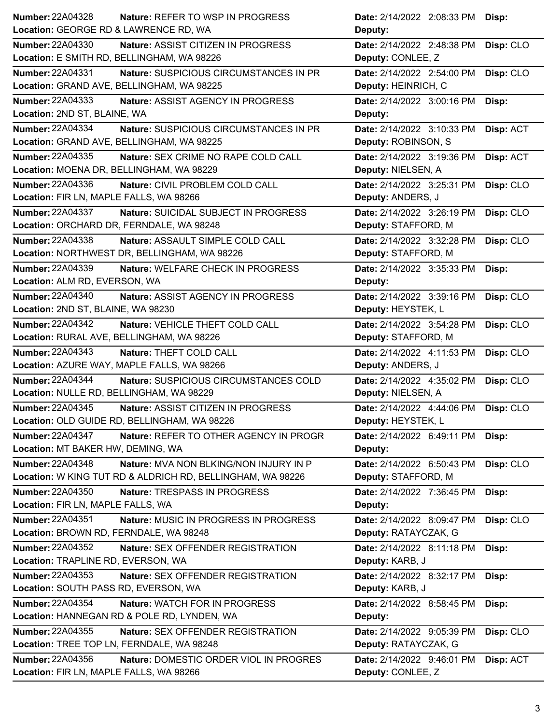| Number: 22A04328<br><b>Nature: REFER TO WSP IN PROGRESS</b>         | Date: 2/14/2022 2:08:33 PM Disp:        |
|---------------------------------------------------------------------|-----------------------------------------|
| Location: GEORGE RD & LAWRENCE RD, WA                               | Deputy:                                 |
| <b>Number: 22A04330</b><br>Nature: ASSIST CITIZEN IN PROGRESS       | Disp: CLO<br>Date: 2/14/2022 2:48:38 PM |
| Location: E SMITH RD, BELLINGHAM, WA 98226                          | Deputy: CONLEE, Z                       |
| <b>Number: 22A04331</b><br>Nature: SUSPICIOUS CIRCUMSTANCES IN PR   | Date: 2/14/2022 2:54:00 PM<br>Disp: CLO |
| Location: GRAND AVE, BELLINGHAM, WA 98225                           | Deputy: HEINRICH, C                     |
| <b>Number: 22A04333</b><br>Nature: ASSIST AGENCY IN PROGRESS        | Date: 2/14/2022 3:00:16 PM<br>Disp:     |
| Location: 2ND ST, BLAINE, WA                                        | Deputy:                                 |
| <b>Number: 22A04334</b><br>Nature: SUSPICIOUS CIRCUMSTANCES IN PR   | Date: 2/14/2022 3:10:33 PM<br>Disp: ACT |
| Location: GRAND AVE, BELLINGHAM, WA 98225                           | Deputy: ROBINSON, S                     |
| Number: 22A04335<br>Nature: SEX CRIME NO RAPE COLD CALL             | Date: 2/14/2022 3:19:36 PM<br>Disp: ACT |
| Location: MOENA DR, BELLINGHAM, WA 98229                            | Deputy: NIELSEN, A                      |
| Number: 22A04336<br>Nature: CIVIL PROBLEM COLD CALL                 | Date: 2/14/2022 3:25:31 PM<br>Disp: CLO |
| Location: FIR LN, MAPLE FALLS, WA 98266                             | Deputy: ANDERS, J                       |
| Number: 22A04337<br>Nature: SUICIDAL SUBJECT IN PROGRESS            | Date: 2/14/2022 3:26:19 PM<br>Disp: CLO |
| Location: ORCHARD DR, FERNDALE, WA 98248                            | Deputy: STAFFORD, M                     |
| <b>Number: 22A04338</b><br>Nature: ASSAULT SIMPLE COLD CALL         | Date: 2/14/2022 3:32:28 PM<br>Disp: CLO |
| Location: NORTHWEST DR, BELLINGHAM, WA 98226                        | Deputy: STAFFORD, M                     |
| Number: 22A04339<br>Nature: WELFARE CHECK IN PROGRESS               | Date: 2/14/2022 3:35:33 PM<br>Disp:     |
| Location: ALM RD, EVERSON, WA                                       | Deputy:                                 |
| Number: 22A04340<br>Nature: ASSIST AGENCY IN PROGRESS               | Disp: CLO<br>Date: 2/14/2022 3:39:16 PM |
| Location: 2ND ST, BLAINE, WA 98230                                  | Deputy: HEYSTEK, L                      |
| <b>Number: 22A04342</b><br>Nature: VEHICLE THEFT COLD CALL          | Date: 2/14/2022 3:54:28 PM<br>Disp: CLO |
| Location: RURAL AVE, BELLINGHAM, WA 98226                           | Deputy: STAFFORD, M                     |
| <b>Number: 22A04343</b><br>Nature: THEFT COLD CALL                  | Date: 2/14/2022 4:11:53 PM<br>Disp: CLO |
| Location: AZURE WAY, MAPLE FALLS, WA 98266                          | Deputy: ANDERS, J                       |
| <b>Number: 22A04344</b><br>Nature: SUSPICIOUS CIRCUMSTANCES COLD    | Date: 2/14/2022 4:35:02 PM<br>Disp: CLO |
| Location: NULLE RD, BELLINGHAM, WA 98229                            | Deputy: NIELSEN, A                      |
| Number: 22A04345<br>Nature: ASSIST CITIZEN IN PROGRESS              | Date: 2/14/2022 4:44:06 PM<br>Disp: CLO |
| Location: OLD GUIDE RD, BELLINGHAM, WA 98226                        | Deputy: HEYSTEK, L                      |
| <b>Number: 22A04347</b><br>Nature: REFER TO OTHER AGENCY IN PROGR   | Date: 2/14/2022 6:49:11 PM Disp:        |
| Location: MT BAKER HW, DEMING, WA                                   | Deputy:                                 |
| Number: 22A04348<br>Nature: MVA NON BLKING/NON INJURY IN P          | Date: 2/14/2022 6:50:43 PM<br>Disp: CLO |
| Location: W KING TUT RD & ALDRICH RD, BELLINGHAM, WA 98226          | Deputy: STAFFORD, M                     |
| <b>Number: 22A04350</b><br>Nature: TRESPASS IN PROGRESS             | Date: 2/14/2022 7:36:45 PM<br>Disp:     |
| Location: FIR LN, MAPLE FALLS, WA                                   | Deputy:                                 |
| Number: 22A04351<br>Nature: MUSIC IN PROGRESS IN PROGRESS           | Date: 2/14/2022 8:09:47 PM<br>Disp: CLO |
| Location: BROWN RD, FERNDALE, WA 98248                              | Deputy: RATAYCZAK, G                    |
| Number: 22A04352<br>Nature: SEX OFFENDER REGISTRATION               | Date: 2/14/2022 8:11:18 PM<br>Disp:     |
| Location: TRAPLINE RD, EVERSON, WA                                  | Deputy: KARB, J                         |
| <b>Number: 22A04353</b><br><b>Nature: SEX OFFENDER REGISTRATION</b> | Date: 2/14/2022 8:32:17 PM<br>Disp:     |
| Location: SOUTH PASS RD, EVERSON, WA                                | Deputy: KARB, J                         |
| <b>Number: 22A04354</b><br>Nature: WATCH FOR IN PROGRESS            | Date: 2/14/2022 8:58:45 PM<br>Disp:     |
| Location: HANNEGAN RD & POLE RD, LYNDEN, WA                         | Deputy:                                 |
| <b>Number: 22A04355</b><br><b>Nature: SEX OFFENDER REGISTRATION</b> | Disp: CLO<br>Date: 2/14/2022 9:05:39 PM |
| Location: TREE TOP LN, FERNDALE, WA 98248                           | Deputy: RATAYCZAK, G                    |
| <b>Number: 22A04356</b><br>Nature: DOMESTIC ORDER VIOL IN PROGRES   | Date: 2/14/2022 9:46:01 PM<br>Disp: ACT |
| Location: FIR LN, MAPLE FALLS, WA 98266                             | Deputy: CONLEE, Z                       |